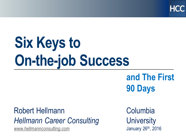

# **Six Keys to On-the-job Success**

**and The First 90 Days**

## Robert Hellmann *Hellmann Career Consulting*

*[www.hellmannconsulting.com](http://www.hellmannconsulting.com/)*

Columbia **University** January 26th, 2016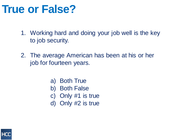## **True or False?**

- 1. Working hard and doing your job well is the key to job security.
- 2. The average American has been at his or her job for fourteen years.
	- a) Both True
	- b) Both False
	- c) Only #1 is true
	- d) Only #2 is true

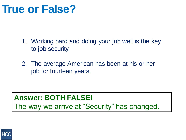## **True or False?**

- 1. Working hard and doing your job well is the key to job security.
- 2. The average American has been at his or her job for fourteen years.

### **Answer: BOTH FALSE!** The way we arrive at "Security" has changed.

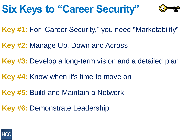## **Six Keys to "Career Security"**



- **Key #1: For "Career Security," you need "Marketability"**
- **Key #2:** Manage Up, Down and Across
- **Key #3:** Develop a long-term vision and a detailed plan
- **Key #4:** Know when it's time to move on
- **Key #5:** Build and Maintain a Network
- **Key #6:** Demonstrate Leadership

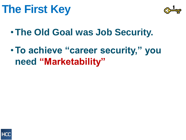

### •**The Old Goal was Job Security.**

## •**To achieve "career security," you need "Marketability"**

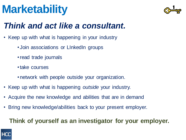# **Marketability**



### *Think and act like a consultant.*

- Keep up with what is happening in your industry
	- Join associations or LInkedIn groups
	- •read trade journals
	- •take courses
	- •network with people outside your organization.
- Keep up with what is happening *outside* your industry.
- Acquire the new knowledge and abilities that are in demand
- Bring new knowledge/abilities back to your present employer.

### **Think of yourself as an investigator for your employer.**

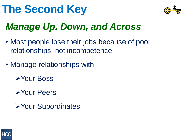

## *Manage Up, Down, and Across*

- Most people lose their jobs because of poor relationships, not incompetence.
- Manage relationships with:
	- Your Boss
	- Your Peers
	- Your Subordinates

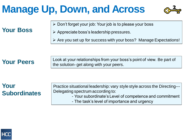# **Manage Up, Down, and Across**



#### **Your Boss**

 $\triangleright$  Don't forget your job: Your job is to please your boss

 $\triangleright$  Appreciate boss's leadership pressures.

 $\triangleright$  Are you set up for success with your boss? Manage Expectations!

### **Your Peers**

Look at your relationships from your boss's point of view. Be part of the solution- get along with your peers.

#### **Your Subordinates**

Practice situational leadership: vary style style across the Directing--- Delegating spectrum according to:

- Your subordinate's Level of competence and commitment
- The task's level of importance and urgency

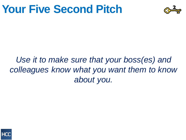## **Your Five Second Pitch <sup>2</sup>**



### *Use it to make sure that your boss(es) and colleagues know what you want them to know about you.*

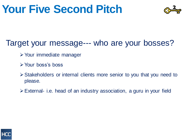# **Your Five Second Pitch <sup>2</sup>**



### Target your message--- who are your bosses?

- Your immediate manager
- Your boss's boss
- Stakeholders or internal clients more senior to you that you need to please.
- External- i.e. head of an industry association, a guru in your field

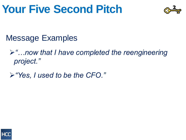## **Your Five Second Pitch <sup>2</sup>**



Message Examples

*"…now that I have completed the reengineering project."*

*"Yes, I used to be the CFO."*

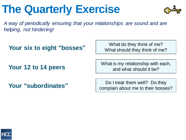# **The Quarterly Exercise**



*A way of periodically ensuring that your relationships are sound and are helping, not hindering!*

**Your six to eight "bosses" Your 12 to 14 peers Your "subordinates"** What do they think of me? What should they think of me? What is my relationship with each, and what should it be? Do I treat them well? Do they

complain about me to their bosses?

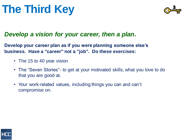

#### *Develop a vision for your career, then a plan***.**

**Develop your career plan as if you were planning someone else's business. Have a "career" not a "job". Do these exercises:**

- The 15 to 40 year vision
- The "Seven Stories"- to get at your motivated skills, what you love to do that you are good at.
- Your work-related values, including things you can and can't compromise on.

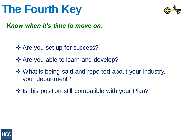



#### *Know when it's time to move on.*

- ❖ Are you set up for success?
- ❖ Are you able to learn and develop?
- What is being said and reported about your industry, your department?
- ❖ Is this position still compatible with your Plan?

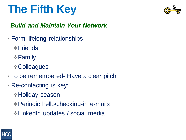



#### *Build and Maintain Your Network*

- Form lifelong relationships
	- ∗Friends
	- $\div$ Family
	- Colleagues
- To be remembered- Have a clear pitch.
- Re-contacting is key:
	- Holiday season
	- Periodic hello/checking-in e-mails
	- LinkedIn updates / social media

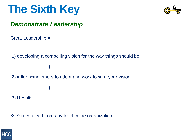



#### *Demonstrate Leadership*

+

+

Great Leadership =

1) developing a compelling vision for the way things should be

2) influencing others to adopt and work toward your vision

3) Results

❖ You can lead from any level in the organization.

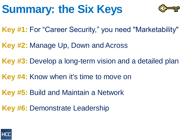# **Summary: the Six Keys**



- **Key #1: For "Career Security," you need "Marketability"**
- **Key #2:** Manage Up, Down and Across
- **Key #3:** Develop a long-term vision and a detailed plan
- **Key #4:** Know when it's time to move on
- **Key #5:** Build and Maintain a Network
- **Key #6:** Demonstrate Leadership

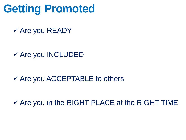# **Getting Promoted**

 $\checkmark$  Are you READY

Are you INCLUDED

 $\checkmark$  Are you ACCEPTABLE to others

 $\checkmark$  Are you in the RIGHT PLACE at the RIGHT TIME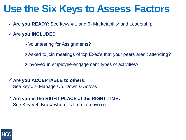## **Use the Six Keys to Assess Factors**

**Are you READY:** See keys # 1 and 6- Marketability and Leadership

#### **Are you INCLUDED**

Volunteering for Assignments?

Asked to join meetings of top Exec's that your peers aren't attending?

≻Involved in employee-engagement types of activities?

 **Are you ACCEPTABLE to others:** See key #2- Manage Up, Down & Across

 **Are you in the RIGHT PLACE at the RIGHT TIME:** See Key # 4- Know when it's time to move on

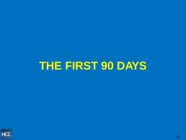## **THE FIRST 90 DAYS**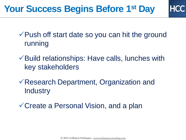**HCC** 

Push off start date so you can hit the ground running

Build relationships: Have calls, lunches with key stakeholders

Research Department, Organization and **Industry** 

Create a Personal Vision, and a plan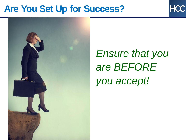### **Are You Set Up for Success?**



# *Ensure that you are BEFORE you accept!*

**HCC**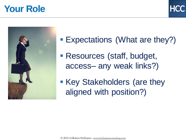### **Your Role**





- Expectations (What are they?)
- Resources (staff, budget, access– any weak links?)
- Key Stakeholders (are they aligned with position?)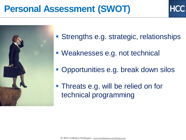## **Personal Assessment (SWOT)**



Strengths e.g. strategic, relationships

**HCC** 

- Weaknesses e.g. not technical
- Opportunities e.g. break down silos
- Threats e.g. will be relied on for technical programming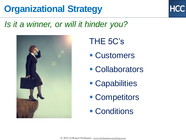## **Organizational Strategy**



### *Is it a winner, or will it hinder you?*



THE 5C's

- **Customers**
- Collaborators
- **Capabilities**
- Competitors
- Conditions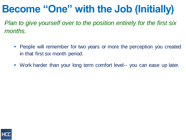## **Become "One" with the Job (Initially)**

*Plan to give yourself over to the position entirely for the first six months.*

- People will remember for two years or more the perception you created in that first six month period.
- Work harder than your long term comfort level-- you can ease up later.

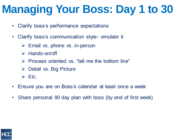# **Managing Your Boss: Day 1 to 30**

- Clarify boss's performance expectations
- Clarify boss's communication style– emulate it
	- $\triangleright$  Email vs. phone vs. in-person
	- $\triangleright$  Hands-on/off
	- $\triangleright$  Process oriented vs. "tell me the bottom line"
	- $\triangleright$  Detail vs. Big Picture
	- $\triangleright$  Etc.
- Ensure you are on Boss's calendar at least once a week
- Share personal 90 day plan with boss (by end of first week)

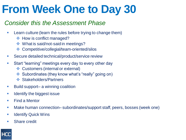# **From Week One to Day 30**

#### *Consider this the Assessment Phase*

- Learn culture (learn the rules before trying to change them)
	- $\div$  How is conflict managed?
	- ◆ What is said/not-said in meetings?
	- ◆ Competitive/collegial/team-oriented/silos
- Secure detailed technical/product/service review
- Start "learning" meetings every day to every other day
	- Customers (internal or external)
	- ❖ Subordinates (they know what's "really" going on)
	- **❖ Stakeholders/Partners**
- Build support– a winning coalition
- **If all identify the biggest issue**
- **Find a Mentor**
- Make human connection– subordinates/support staff, peers, bosses (week one)
- **IDENTIFY Quick Wins**
- **Share credit**

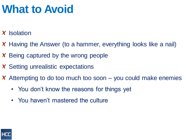# **What to Avoid**

- **X** Isolation
- $\boldsymbol{X}$  Having the Answer (to a hammer, everything looks like a nail)
- **X** Being captured by the wrong people
- **X** Setting unrealistic expectations
- $\boldsymbol{\chi}$  Attempting to do too much too soon you could make enemies
	- You don't know the reasons for things yet
	- You haven't mastered the culture

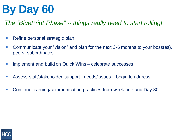# **By Day 60**

### *The "BluePrint Phase" -- things really need to start rolling!*

- Refine personal strategic plan
- Communicate your "vision" and plan for the next 3-6 months to your boss(es), peers, subordinates.
- **Implement and build on Quick Wins celebrate successes**
- Assess staff/stakeholder support– needs/issues begin to address
- Continue learning/communication practices from week one and Day 30

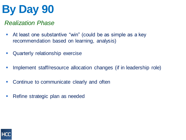

#### *Realization Phase*

- At least one substantive "win" (could be as simple as a key recommendation based on learning, analysis)
- **Quarterly relationship exercise**
- **Implement staff/resource allocation changes (if in leadership role)**
- **Continue to communicate clearly and often**
- **Refine strategic plan as needed**